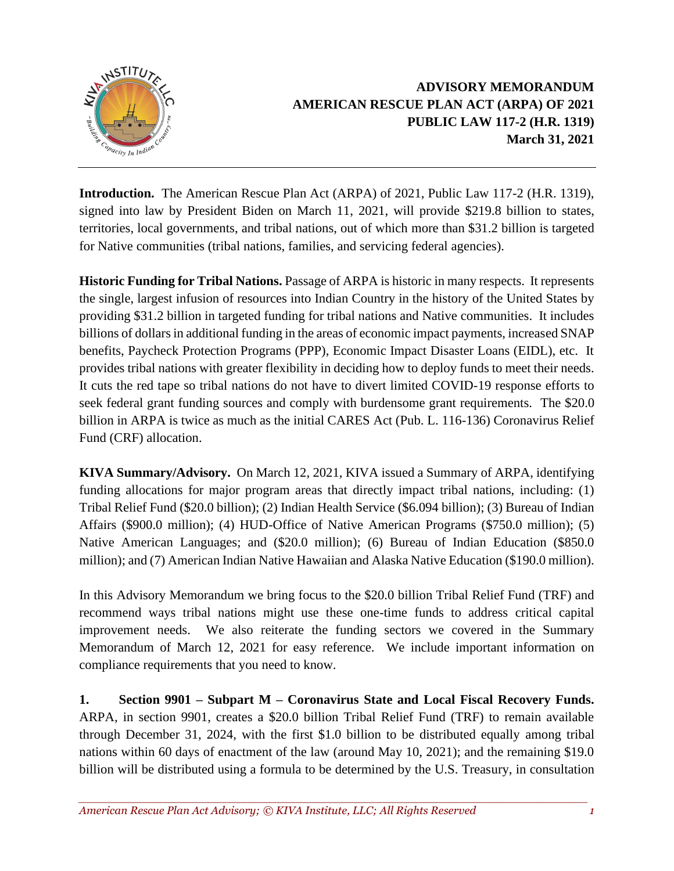

## **ADVISORY MEMORANDUM AMERICAN RESCUE PLAN ACT (ARPA) OF 2021 PUBLIC LAW 117-2 (H.R. 1319) March 31, 2021**

**Introduction.** The American Rescue Plan Act (ARPA) of 2021, Public Law 117-2 (H.R. 1319), signed into law by President Biden on March 11, 2021, will provide \$219.8 billion to states, territories, local governments, and tribal nations, out of which more than \$31.2 billion is targeted for Native communities (tribal nations, families, and servicing federal agencies).

**Historic Funding for Tribal Nations.** Passage of ARPA is historic in many respects. It represents the single, largest infusion of resources into Indian Country in the history of the United States by providing \$31.2 billion in targeted funding for tribal nations and Native communities. It includes billions of dollars in additional funding in the areas of economic impact payments, increased SNAP benefits, Paycheck Protection Programs (PPP), Economic Impact Disaster Loans (EIDL), etc. It provides tribal nations with greater flexibility in deciding how to deploy funds to meet their needs. It cuts the red tape so tribal nations do not have to divert limited COVID-19 response efforts to seek federal grant funding sources and comply with burdensome grant requirements. The \$20.0 billion in ARPA is twice as much as the initial CARES Act (Pub. L. 116-136) Coronavirus Relief Fund (CRF) allocation.

**KIVA Summary/Advisory.** On March 12, 2021, KIVA issued a Summary of ARPA, identifying funding allocations for major program areas that directly impact tribal nations, including: (1) Tribal Relief Fund (\$20.0 billion); (2) Indian Health Service (\$6.094 billion); (3) Bureau of Indian Affairs (\$900.0 million); (4) HUD-Office of Native American Programs (\$750.0 million); (5) Native American Languages; and (\$20.0 million); (6) Bureau of Indian Education (\$850.0 million); and (7) American Indian Native Hawaiian and Alaska Native Education (\$190.0 million).

In this Advisory Memorandum we bring focus to the \$20.0 billion Tribal Relief Fund (TRF) and recommend ways tribal nations might use these one-time funds to address critical capital improvement needs. We also reiterate the funding sectors we covered in the Summary Memorandum of March 12, 2021 for easy reference. We include important information on compliance requirements that you need to know.

**1. Section 9901 – Subpart M – Coronavirus State and Local Fiscal Recovery Funds.** ARPA, in section 9901, creates a \$20.0 billion Tribal Relief Fund (TRF) to remain available through December 31, 2024, with the first \$1.0 billion to be distributed equally among tribal nations within 60 days of enactment of the law (around May 10, 2021); and the remaining \$19.0 billion will be distributed using a formula to be determined by the U.S. Treasury, in consultation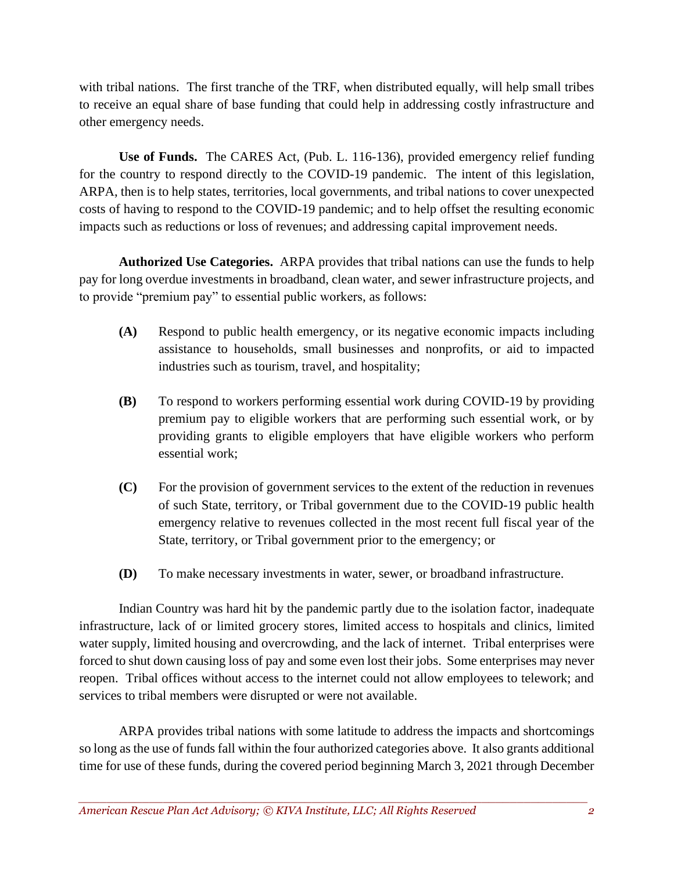with tribal nations. The first tranche of the TRF, when distributed equally, will help small tribes to receive an equal share of base funding that could help in addressing costly infrastructure and other emergency needs.

**Use of Funds.** The CARES Act, (Pub. L. 116-136), provided emergency relief funding for the country to respond directly to the COVID-19 pandemic. The intent of this legislation, ARPA, then is to help states, territories, local governments, and tribal nations to cover unexpected costs of having to respond to the COVID-19 pandemic; and to help offset the resulting economic impacts such as reductions or loss of revenues; and addressing capital improvement needs.

**Authorized Use Categories.** ARPA provides that tribal nations can use the funds to help pay for long overdue investments in broadband, clean water, and sewer infrastructure projects, and to provide "premium pay" to essential public workers, as follows:

- **(A)** Respond to public health emergency, or its negative economic impacts including assistance to households, small businesses and nonprofits, or aid to impacted industries such as tourism, travel, and hospitality;
- **(B)** To respond to workers performing essential work during COVID-19 by providing premium pay to eligible workers that are performing such essential work, or by providing grants to eligible employers that have eligible workers who perform essential work;
- **(C)** For the provision of government services to the extent of the reduction in revenues of such State, territory, or Tribal government due to the COVID-19 public health emergency relative to revenues collected in the most recent full fiscal year of the State, territory, or Tribal government prior to the emergency; or
- **(D)** To make necessary investments in water, sewer, or broadband infrastructure.

Indian Country was hard hit by the pandemic partly due to the isolation factor, inadequate infrastructure, lack of or limited grocery stores, limited access to hospitals and clinics, limited water supply, limited housing and overcrowding, and the lack of internet. Tribal enterprises were forced to shut down causing loss of pay and some even lost their jobs. Some enterprises may never reopen. Tribal offices without access to the internet could not allow employees to telework; and services to tribal members were disrupted or were not available.

ARPA provides tribal nations with some latitude to address the impacts and shortcomings so long as the use of funds fall within the four authorized categories above. It also grants additional time for use of these funds, during the covered period beginning March 3, 2021 through December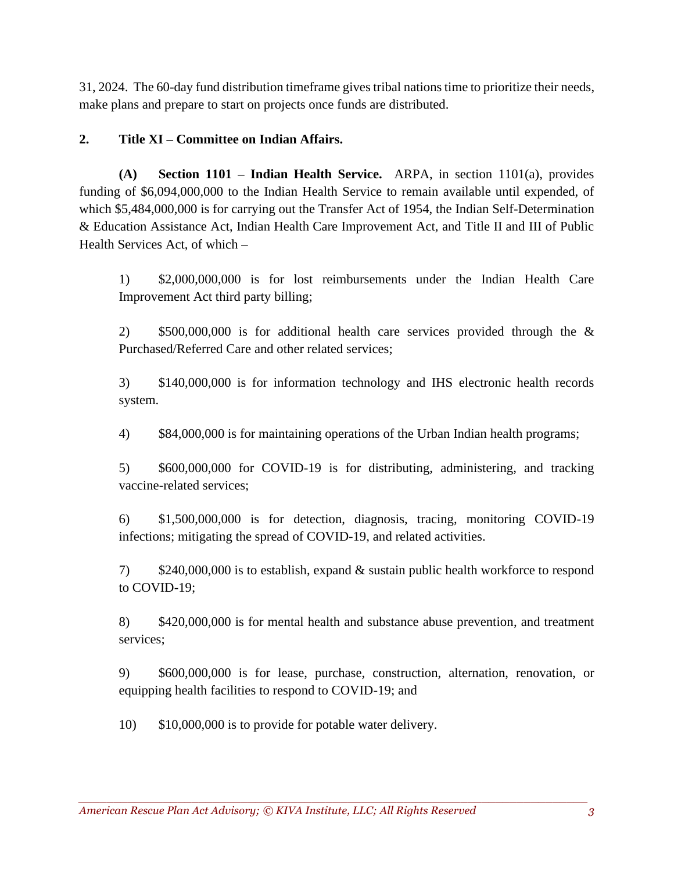31, 2024. The 60-day fund distribution timeframe gives tribal nations time to prioritize their needs, make plans and prepare to start on projects once funds are distributed.

## **2. Title XI – Committee on Indian Affairs.**

**(A) Section 1101 – Indian Health Service.** ARPA, in section 1101(a), provides funding of \$6,094,000,000 to the Indian Health Service to remain available until expended, of which \$5,484,000,000 is for carrying out the Transfer Act of 1954, the Indian Self-Determination & Education Assistance Act, Indian Health Care Improvement Act, and Title II and III of Public Health Services Act, of which –

1) \$2,000,000,000 is for lost reimbursements under the Indian Health Care Improvement Act third party billing;

2) \$500,000,000 is for additional health care services provided through the & Purchased/Referred Care and other related services;

3) \$140,000,000 is for information technology and IHS electronic health records system.

4) \$84,000,000 is for maintaining operations of the Urban Indian health programs;

5) \$600,000,000 for COVID-19 is for distributing, administering, and tracking vaccine-related services;

6) \$1,500,000,000 is for detection, diagnosis, tracing, monitoring COVID-19 infections; mitigating the spread of COVID-19, and related activities.

7) \$240,000,000 is to establish, expand & sustain public health workforce to respond to COVID-19;

8) \$420,000,000 is for mental health and substance abuse prevention, and treatment services;

9) \$600,000,000 is for lease, purchase, construction, alternation, renovation, or equipping health facilities to respond to COVID-19; and

10) \$10,000,000 is to provide for potable water delivery.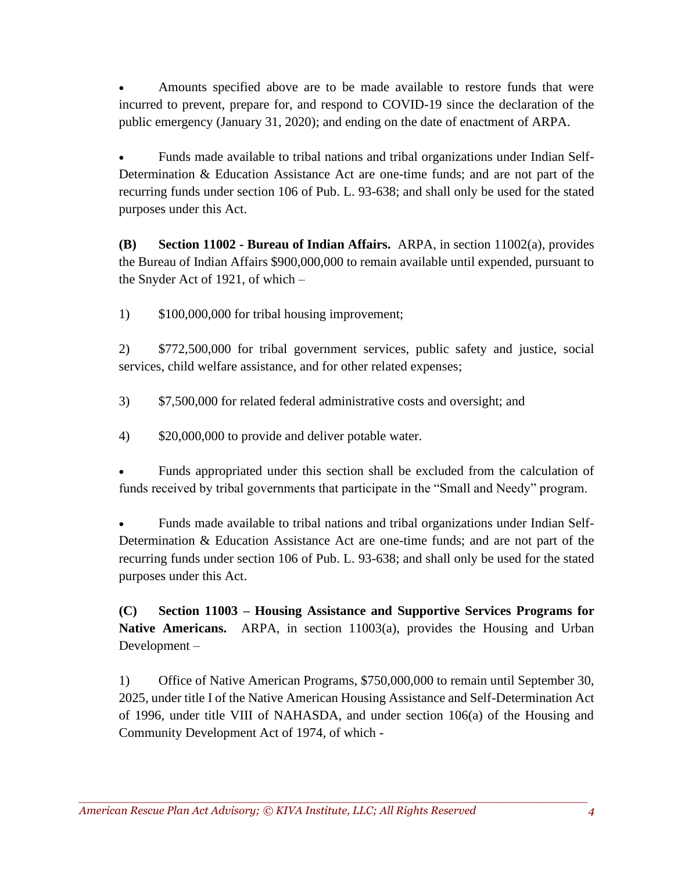• Amounts specified above are to be made available to restore funds that were incurred to prevent, prepare for, and respond to COVID-19 since the declaration of the public emergency (January 31, 2020); and ending on the date of enactment of ARPA.

• Funds made available to tribal nations and tribal organizations under Indian Self-Determination & Education Assistance Act are one-time funds; and are not part of the recurring funds under section 106 of Pub. L. 93-638; and shall only be used for the stated purposes under this Act.

**(B) Section 11002 - Bureau of Indian Affairs.** ARPA, in section 11002(a), provides the Bureau of Indian Affairs \$900,000,000 to remain available until expended, pursuant to the Snyder Act of 1921, of which –

1) \$100,000,000 for tribal housing improvement;

2) \$772,500,000 for tribal government services, public safety and justice, social services, child welfare assistance, and for other related expenses;

- 3) \$7,500,000 for related federal administrative costs and oversight; and
- 4) \$20,000,000 to provide and deliver potable water.

• Funds appropriated under this section shall be excluded from the calculation of funds received by tribal governments that participate in the "Small and Needy" program.

• Funds made available to tribal nations and tribal organizations under Indian Self-Determination & Education Assistance Act are one-time funds; and are not part of the recurring funds under section 106 of Pub. L. 93-638; and shall only be used for the stated purposes under this Act.

**(C) Section 11003 – Housing Assistance and Supportive Services Programs for Native Americans.** ARPA, in section 11003(a), provides the Housing and Urban Development –

1) Office of Native American Programs, \$750,000,000 to remain until September 30, 2025, under title I of the Native American Housing Assistance and Self-Determination Act of 1996, under title VIII of NAHASDA, and under section 106(a) of the Housing and Community Development Act of 1974, of which -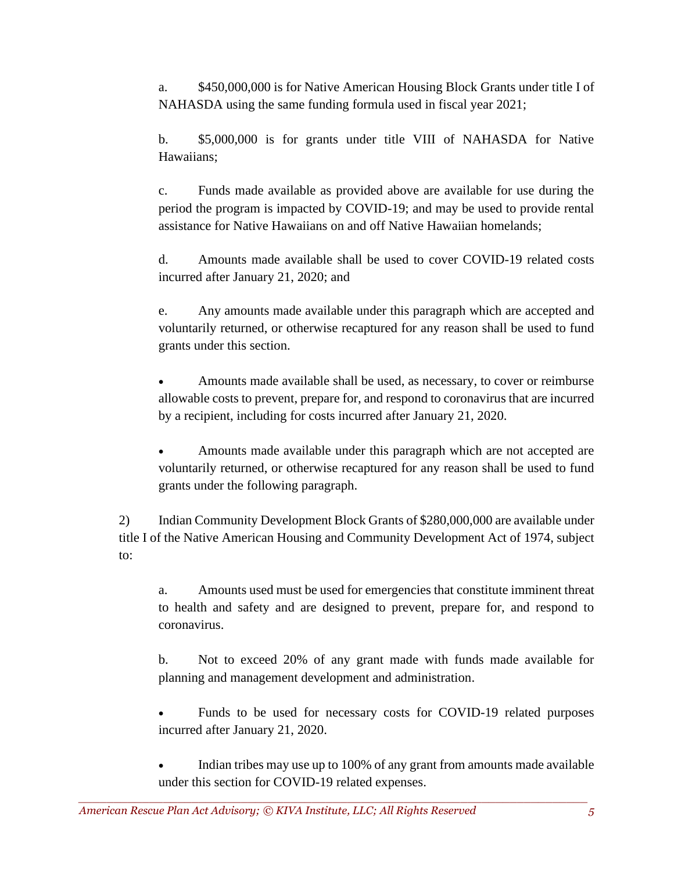a. \$450,000,000 is for Native American Housing Block Grants under title I of NAHASDA using the same funding formula used in fiscal year 2021;

b. \$5,000,000 is for grants under title VIII of NAHASDA for Native Hawaiians;

c. Funds made available as provided above are available for use during the period the program is impacted by COVID-19; and may be used to provide rental assistance for Native Hawaiians on and off Native Hawaiian homelands;

d. Amounts made available shall be used to cover COVID-19 related costs incurred after January 21, 2020; and

e. Any amounts made available under this paragraph which are accepted and voluntarily returned, or otherwise recaptured for any reason shall be used to fund grants under this section.

• Amounts made available shall be used, as necessary, to cover or reimburse allowable costs to prevent, prepare for, and respond to coronavirus that are incurred by a recipient, including for costs incurred after January 21, 2020.

• Amounts made available under this paragraph which are not accepted are voluntarily returned, or otherwise recaptured for any reason shall be used to fund grants under the following paragraph.

2) Indian Community Development Block Grants of \$280,000,000 are available under title I of the Native American Housing and Community Development Act of 1974, subject to:

a. Amounts used must be used for emergencies that constitute imminent threat to health and safety and are designed to prevent, prepare for, and respond to coronavirus.

b. Not to exceed 20% of any grant made with funds made available for planning and management development and administration.

• Funds to be used for necessary costs for COVID-19 related purposes incurred after January 21, 2020.

Indian tribes may use up to 100% of any grant from amounts made available under this section for COVID-19 related expenses.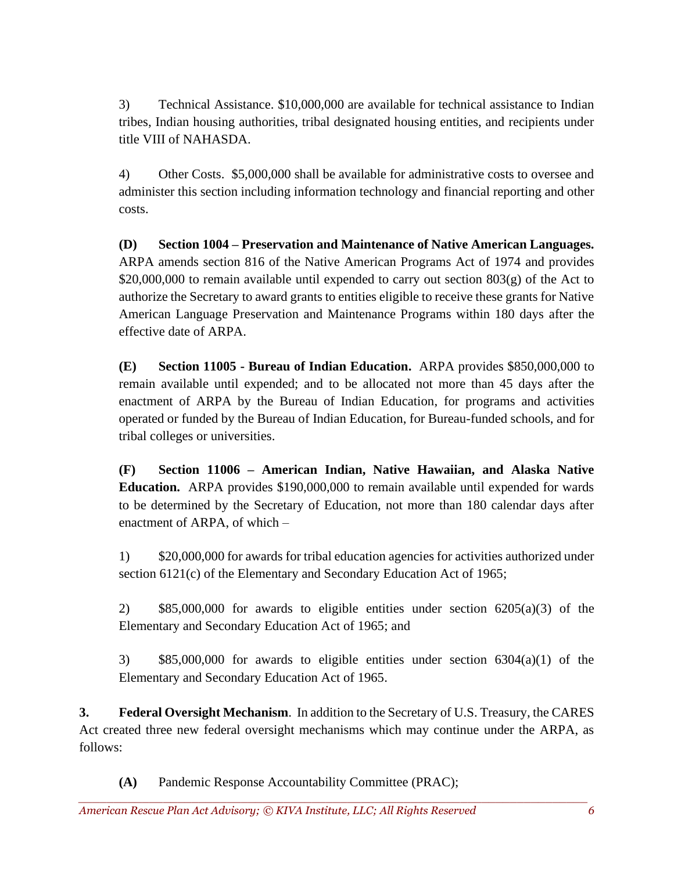3) Technical Assistance. \$10,000,000 are available for technical assistance to Indian tribes, Indian housing authorities, tribal designated housing entities, and recipients under title VIII of NAHASDA.

4) Other Costs. \$5,000,000 shall be available for administrative costs to oversee and administer this section including information technology and financial reporting and other costs.

**(D) Section 1004 – Preservation and Maintenance of Native American Languages.**  ARPA amends section 816 of the Native American Programs Act of 1974 and provides \$20,000,000 to remain available until expended to carry out section  $803(g)$  of the Act to authorize the Secretary to award grants to entities eligible to receive these grants for Native American Language Preservation and Maintenance Programs within 180 days after the effective date of ARPA.

**(E) Section 11005 - Bureau of Indian Education.** ARPA provides \$850,000,000 to remain available until expended; and to be allocated not more than 45 days after the enactment of ARPA by the Bureau of Indian Education, for programs and activities operated or funded by the Bureau of Indian Education, for Bureau-funded schools, and for tribal colleges or universities.

**(F) Section 11006 – American Indian, Native Hawaiian, and Alaska Native Education.** ARPA provides \$190,000,000 to remain available until expended for wards to be determined by the Secretary of Education, not more than 180 calendar days after enactment of ARPA, of which –

1) \$20,000,000 for awards for tribal education agencies for activities authorized under section 6121(c) of the Elementary and Secondary Education Act of 1965;

2) \$85,000,000 for awards to eligible entities under section 6205(a)(3) of the Elementary and Secondary Education Act of 1965; and

3) \$85,000,000 for awards to eligible entities under section 6304(a)(1) of the Elementary and Secondary Education Act of 1965.

**3. Federal Oversight Mechanism**. In addition to the Secretary of U.S. Treasury, the CARES Act created three new federal oversight mechanisms which may continue under the ARPA, as follows:

**(A)** Pandemic Response Accountability Committee (PRAC);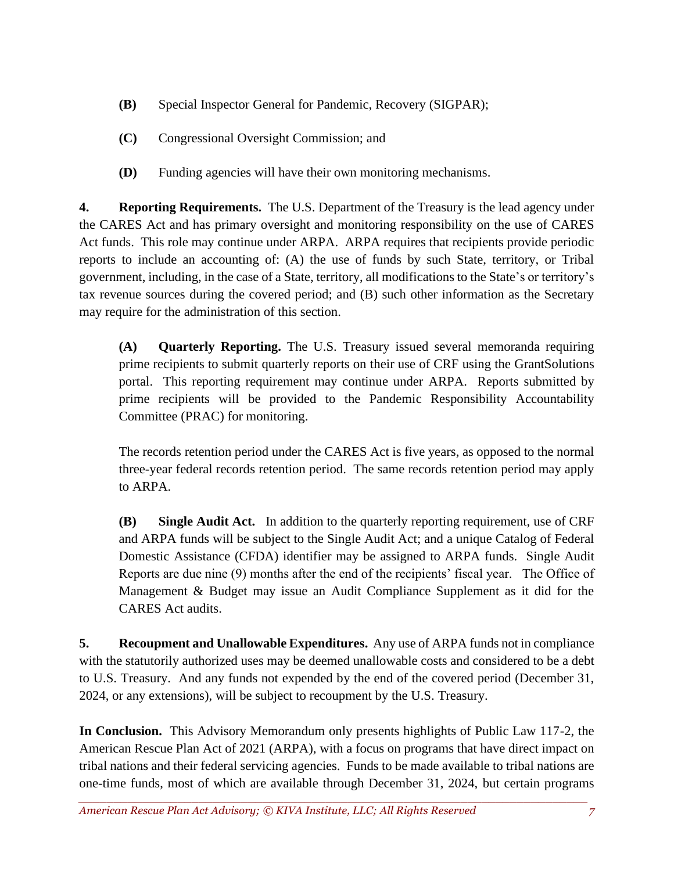- **(B)** Special Inspector General for Pandemic, Recovery (SIGPAR);
- **(C)** Congressional Oversight Commission; and
- **(D)** Funding agencies will have their own monitoring mechanisms.

**4. Reporting Requirements.** The U.S. Department of the Treasury is the lead agency under the CARES Act and has primary oversight and monitoring responsibility on the use of CARES Act funds. This role may continue under ARPA. ARPA requires that recipients provide periodic reports to include an accounting of: (A) the use of funds by such State, territory, or Tribal government, including, in the case of a State, territory, all modifications to the State's or territory's tax revenue sources during the covered period; and (B) such other information as the Secretary may require for the administration of this section.

**(A) Quarterly Reporting.** The U.S. Treasury issued several memoranda requiring prime recipients to submit quarterly reports on their use of CRF using the GrantSolutions portal. This reporting requirement may continue under ARPA. Reports submitted by prime recipients will be provided to the Pandemic Responsibility Accountability Committee (PRAC) for monitoring.

The records retention period under the CARES Act is five years, as opposed to the normal three-year federal records retention period. The same records retention period may apply to ARPA.

**(B) Single Audit Act.** In addition to the quarterly reporting requirement, use of CRF and ARPA funds will be subject to the Single Audit Act; and a unique Catalog of Federal Domestic Assistance (CFDA) identifier may be assigned to ARPA funds. Single Audit Reports are due nine (9) months after the end of the recipients' fiscal year. The Office of Management & Budget may issue an Audit Compliance Supplement as it did for the CARES Act audits.

**5. Recoupment and Unallowable Expenditures.** Any use of ARPA funds not in compliance with the statutorily authorized uses may be deemed unallowable costs and considered to be a debt to U.S. Treasury. And any funds not expended by the end of the covered period (December 31, 2024, or any extensions), will be subject to recoupment by the U.S. Treasury.

**In Conclusion.** This Advisory Memorandum only presents highlights of Public Law 117-2, the American Rescue Plan Act of 2021 (ARPA), with a focus on programs that have direct impact on tribal nations and their federal servicing agencies. Funds to be made available to tribal nations are one-time funds, most of which are available through December 31, 2024, but certain programs